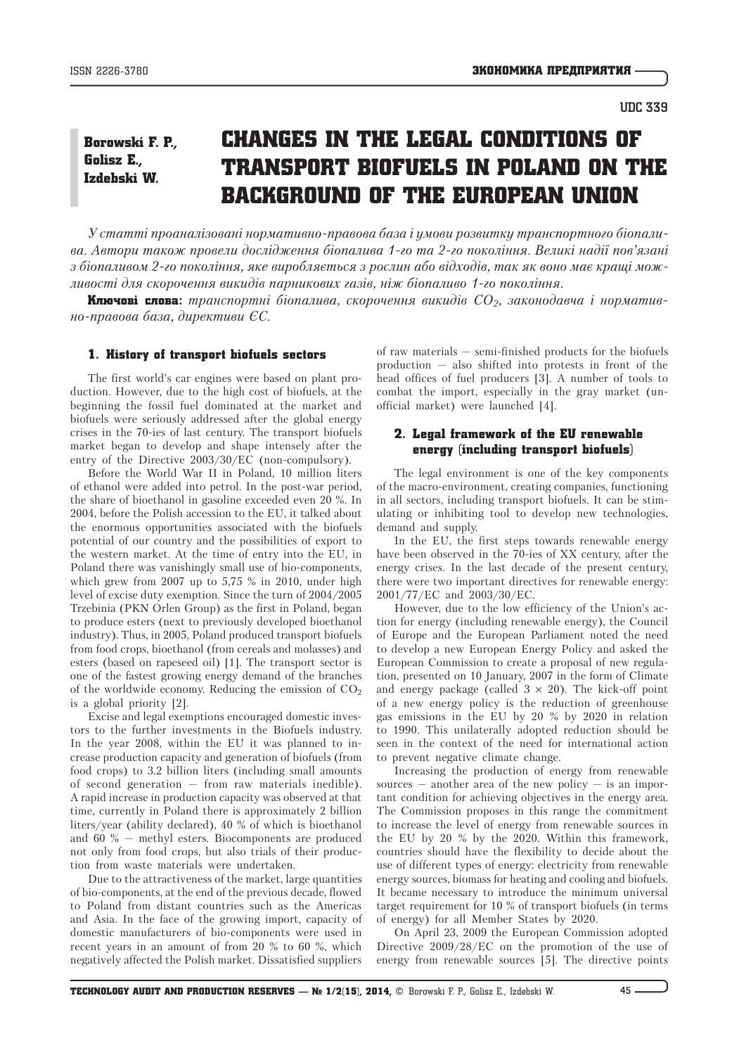## Changes in the legal conditions of transport biofuels in Poland on the background of the European Union Borowski F. P., Golisz E., Izdebski W.

*У статті проаналізовані нормативно-правова база і умови розвитку транспортного біопалива. Автори також провели дослідження біопалива 1-го та 2-го покоління. Великі надії пов'язані з біопаливом 2-го покоління, яке виробляється з рослин або відходів, так як воно має кращі можливості для скорочення викидів парникових газів, ніж біопаливо 1-го покоління.* 

**Ключові слова**: транспортні біопалива, скорочення викидів CO<sub>2</sub>, законодавча і норматив*но-правова база, директиви ЄС.*

## 1. History of transport biofuels sectors

The first world's car engines were based on plant production. However, due to the high cost of biofuels, at the beginning the fossil fuel dominated at the market and biofuels were seriously addressed after the global energy crises in the 70-ies of last century. The transport biofuels market began to develop and shape intensely after the entry of the Directive 2003/30/EC (non-compulsory).

Before the World War II in Poland, 10 million liters of ethanol were added into petrol. In the post-war period, the share of bioethanol in gasoline exceeded even 20 %. In 2004, before the Polish accession to the EU, it talked about the enormous opportunities associated with the biofuels potential of our country and the possibilities of export to the western market. At the time of entry into the EU, in Poland there was vanishingly small use of bio-components, which grew from 2007 up to 5,75 % in 2010, under high level of excise duty exemption. Since the turn of 2004/2005 Trzebinia (PKN Orlen Group) as the first in Poland, began to produce esters (next to previously developed bioethanol industry). Thus, in 2005, Poland produced transport biofuels from food crops, bioethanol (from cereals and molasses) and esters (based on rapeseed oil) [1]. The transport sector is one of the fastest growing energy demand of the branches of the worldwide economy. Reducing the emission of  $CO<sub>2</sub>$ is a global priority [2].

Excise and legal exemptions encouraged domestic investors to the further investments in the Biofuels industry. In the year 2008, within the EU it was planned to increase production capacity and generation of biofuels (from food crops) to 3.2 billion liters (including small amounts of second generation — from raw materials inedible). A rapid increase in production capacity was observed at that time, currently in Poland there is approximately 2 billion liters/year (ability declared), 40 % of which is bioethanol and 60 % — methyl esters. Biocomponents are produced not only from food crops, but also trials of their production from waste materials were undertaken.

Due to the attractiveness of the market, large quantities of bio-components, at the end of the previous decade, flowed to Poland from distant countries such as the Americas and Asia. In the face of the growing import, capacity of domestic manufacturers of bio-components were used in recent years in an amount of from 20 % to 60 %, which negatively affected the Polish market. Dissatisfied suppliers

of raw materials — semi-finished products for the biofuels production — also shifted into protests in front of the head offices of fuel producers [3]. A number of tools to combat the import, especially in the gray market (unofficial market) were launched [4].

# 2. Legal framework of the EU renewable energy (including transport biofuels)

The legal environment is one of the key components of the macro-environment, creating companies, functioning in all sectors, including transport biofuels. It can be stimulating or inhibiting tool to develop new technologies, demand and supply.

In the EU, the first steps towards renewable energy have been observed in the 70-ies of XX century, after the energy crises. In the last decade of the present century, there were two important directives for renewable energy: 2001/77/EC and 2003/30/EC.

However, due to the low efficiency of the Union's action for energy (including renewable energy), the Council of Europe and the European Parliament noted the need to develop a new European Energy Policy and asked the European Commission to create a proposal of new regulation, presented on 10 January, 2007 in the form of Climate and energy package (called  $3 \times 20$ ). The kick-off point of a new energy policy is the reduction of greenhouse gas emissions in the EU by 20 % by 2020 in relation to 1990. This unilaterally adopted reduction should be seen in the context of the need for international action to prevent negative climate change.

Increasing the production of energy from renewable sources  $-$  another area of the new policy  $-$  is an important condition for achieving objectives in the energy area. The Commission proposes in this range the commitment to increase the level of energy from renewable sources in the EU by 20 % by the 2020. Within this framework, countries should have the flexibility to decide about the use of different types of energy: electricity from renewable energy sources, biomass for heating and cooling and biofuels. It became necessary to introduce the minimum universal target requirement for 10 % of transport biofuels (in terms of energy) for all Member States by 2020.

On April 23, 2009 the European Commission adopted Directive 2009/28/EC on the promotion of the use of energy from renewable sources [5]. The directive points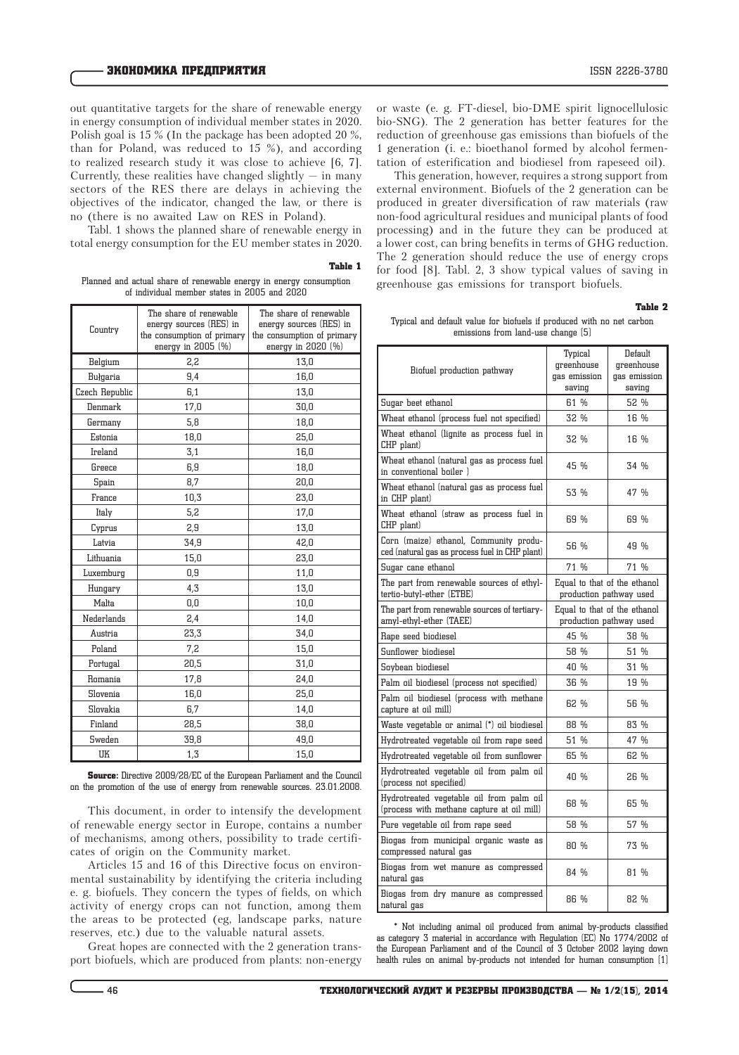out quantitative targets for the share of renewable energy in energy consumption of individual member states in 2020. Polish goal is 15 % (In the package has been adopted 20 %, than for Poland, was reduced to 15 %), and according to realized research study it was close to achieve [6, 7]. Currently, these realities have changed slightly  $-$  in many sectors of the RES there are delays in achieving the objectives of the indicator, changed the law, or there is no (there is no awaited Law on RES in Poland).

Tabl. 1 shows the planned share of renewable energy in total energy consumption for the EU member states in 2020.

Table 1

Planned and actual share of renewable energy in energy consumption of individual member states in 2005 and 2020

| Country        | The share of renewable<br>energy sources (RES) in<br>the consumption of primary<br>energy in 2005 (%) | The share of renewable<br>energy sources (RES) in<br>the consumption of primary<br>energy in 2020 (%) |  |
|----------------|-------------------------------------------------------------------------------------------------------|-------------------------------------------------------------------------------------------------------|--|
| Belgium        | 2,2                                                                                                   | 13,0                                                                                                  |  |
| Bułgaria       | 9,4                                                                                                   | 16,0                                                                                                  |  |
| Czech Republic | 6,1                                                                                                   | 13,0                                                                                                  |  |
| Denmark        | 17,0                                                                                                  | 30,0                                                                                                  |  |
| Germany        | 5,8                                                                                                   | 18,0                                                                                                  |  |
| Estonia        | 18,0                                                                                                  | 25,0                                                                                                  |  |
| Ireland        | 3,1                                                                                                   | 16,0                                                                                                  |  |
| Greece         | 6,9                                                                                                   | 18,0                                                                                                  |  |
| Spain          | 8,7                                                                                                   | 20,0                                                                                                  |  |
| France         | 10,3                                                                                                  | 23,0                                                                                                  |  |
| Italy          | 5,2                                                                                                   | 17,0                                                                                                  |  |
| Cyprus         | 2,9                                                                                                   | 13,0                                                                                                  |  |
| Latvia         | 34,9                                                                                                  | 42,0                                                                                                  |  |
| Lithuania      | 15,0                                                                                                  | 23,0                                                                                                  |  |
| Luxemburg      | 0,9                                                                                                   | 11,0                                                                                                  |  |
| Hungary        | 4,3                                                                                                   | 13,0                                                                                                  |  |
| Malta          | 0,0                                                                                                   | 10,0                                                                                                  |  |
| Nederlands     | 2,4                                                                                                   | 14,0                                                                                                  |  |
| Austria        | 23,3                                                                                                  | 34,0                                                                                                  |  |
| Poland         | 7,2                                                                                                   | 15,0                                                                                                  |  |
| Portugal       | 20,5                                                                                                  | 31,0                                                                                                  |  |
| Romania        | 17,8                                                                                                  | 24,0                                                                                                  |  |
| Slovenia       | 16,0                                                                                                  | 25,0                                                                                                  |  |
| Slovakia       | 6,7                                                                                                   | 14,0                                                                                                  |  |
| Finland        | 28,5                                                                                                  | 38,0                                                                                                  |  |
| Sweden         | 39,8                                                                                                  | 49,0                                                                                                  |  |
| UK             | 1,3                                                                                                   | 15,0                                                                                                  |  |

Source: Directive 2009/28/EC of the European Parliament and the Council on the promotion of the use of energy from renewable sources. 23.01.2008.

This document, in order to intensify the development of renewable energy sector in Europe, contains a number of mechanisms, among others, possibility to trade certificates of origin on the Community market.

Articles 15 and 16 of this Directive focus on environmental sustainability by identifying the criteria including e. g. biofuels. They concern the types of fields, on which activity of energy crops can not function, among them the areas to be protected (eg, landscape parks, nature reserves, etc.) due to the valuable natural assets.

Great hopes are connected with the 2 generation transport biofuels, which are produced from plants: non-energy

This generation, however, requires a strong support from external environment. Biofuels of the 2 generation can be produced in greater diversification of raw materials (raw non-food agricultural residues and municipal plants of food processing) and in the future they can be produced at a lower cost, can bring benefits in terms of GHG reduction. The 2 generation should reduce the use of energy crops for food [8]. Tabl. 2, 3 show typical values of saving in greenhouse gas emissions for transport biofuels.

Table 2

Typical and default value for biofuels if produced with no net carbon emissions from land-use change [5]

| Biofuel production pathway                                                               | Typical<br>greenhouse<br>gas emission<br>saving         | Default<br>greenhouse<br>gas emission<br>saving |
|------------------------------------------------------------------------------------------|---------------------------------------------------------|-------------------------------------------------|
| Sugar beet ethanol                                                                       | 61 %                                                    | 52 %                                            |
| Wheat ethanol (process fuel not specified)                                               | 32 %                                                    | 16 %                                            |
| Wheat ethanol (lignite as process fuel in<br>CHP plant)                                  | 32 %                                                    | 16 %                                            |
| Wheat ethanol (natural gas as process fuel<br>in conventional boiler)                    | 45 %                                                    | 34 %                                            |
| Wheat ethanol (natural gas as process fuel<br>in CHP plant)                              | 53 %                                                    | 47 %                                            |
| Wheat ethanol (straw as process fuel in<br>CHP plant)                                    | 69 %                                                    | 69 %                                            |
| Corn (maize) ethanol, Community produ-<br>ced (natural gas as process fuel in CHP plant) | 56 %                                                    | 49 %                                            |
| Sugar cane ethanol                                                                       | 71 %                                                    | 71 %                                            |
| The part from renewable sources of ethyl-<br>tertio-butyl-ether (ETBE)                   | Equal to that of the ethanol<br>production pathway used |                                                 |
| The part from renewable sources of tertiary-<br>amyl-ethyl-ether (TAEE)                  | Equal to that of the ethanol<br>production pathway used |                                                 |
| Rape seed biodiesel                                                                      | 45 %                                                    | 38 %                                            |
| Sunflower biodiesel                                                                      | 58 %                                                    | 51 %                                            |
| Soybean biodiesel                                                                        | 40 %                                                    | 31 %                                            |
| Palm oil biodiesel (process not specified)                                               | 36 %                                                    | 19 %                                            |
| Palm oil biodiesel (process with methane<br>capture at oil mill)                         | 62 %                                                    | 56 %                                            |
| Waste vegetable or animal (*) oil biodiesel                                              | 88%                                                     | 83 %                                            |
| Hydrotreated vegetable oil from rape seed                                                | 51 %                                                    | 47 %                                            |
| Hydrotreated vegetable oil from sunflower                                                | 65 %                                                    | 62 %                                            |
| Hydrotreated vegetable oil from palm oil<br>(process not specified)                      | 40 %                                                    | 26 %                                            |
| Hydrotreated vegetable oil from palm oil<br>(process with methane capture at oil mill)   | 68 %                                                    | 65 %                                            |
| Pure vegetable oil from rape seed                                                        | 58 %                                                    | 57 %                                            |
| Biogas from municipal organic waste as<br>compressed natural gas                         | 80 %                                                    | 73 %                                            |
| Biogas from wet manure as compressed<br>natural gas                                      | 84 %                                                    | 81 %                                            |
| Biogas from dry manure as compressed<br>natural gas                                      | 86 %                                                    | 82 %                                            |

\* Not including animal oil produced from animal by-products classified as category 3 material in accordance with Regulation (EC) No 1774/2002 of the European Parliament and of the Council of 3 October 2002 laying down health rules on animal by-products not intended for human consumption [1]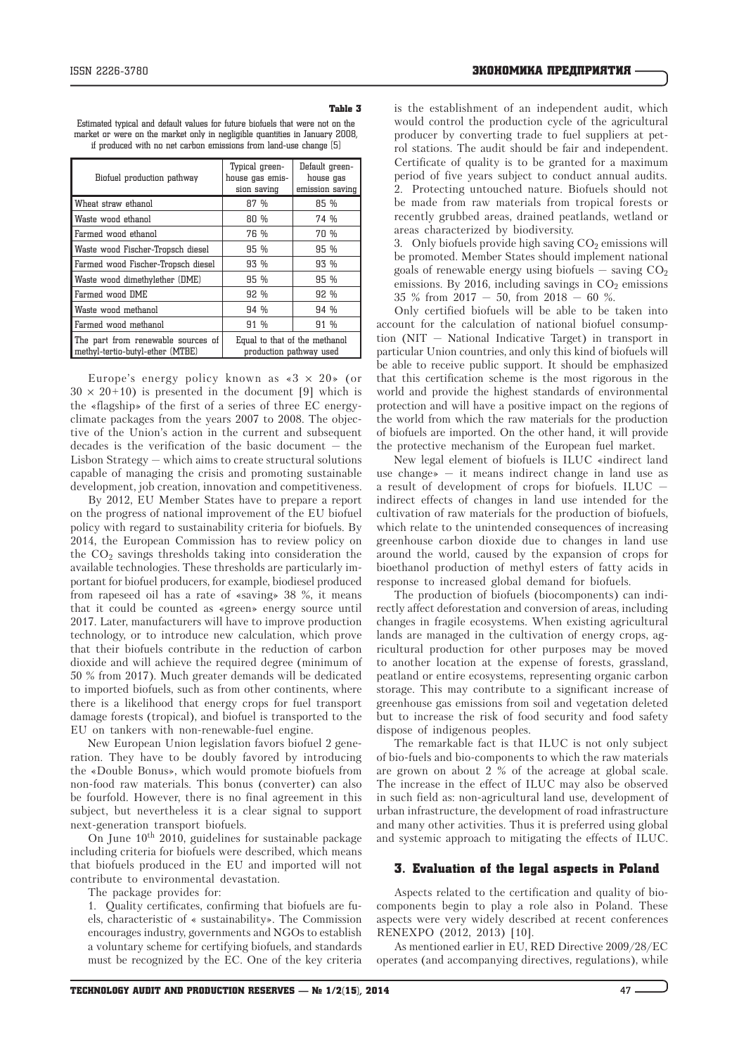## Table 3

Estimated typical and default values for future biofuels that were not on the market or were on the market only in negligible quantities in January 2008, if produced with no net carbon emissions from land-use change [5]

| Biofuel production pathway                                             | Typical green-<br>house gas emis-<br>sion saving         | Default green-<br>house gas<br>emission saving |
|------------------------------------------------------------------------|----------------------------------------------------------|------------------------------------------------|
| Wheat straw ethanol                                                    | 87%                                                      | 85 %                                           |
| Waste wood ethanol                                                     | 80 %                                                     | 74 %                                           |
| Farmed wood ethanol                                                    | 76 %                                                     | 70 %                                           |
| Waste wood Fischer-Tropsch diesel                                      | 95 %                                                     | 95 %                                           |
| Farmed wood Fischer-Tropsch diesel                                     | 93 %                                                     | 93 %                                           |
| Waste wood dimethylether (DME)                                         | 95 %                                                     | 95 %                                           |
| Farmed wood DME                                                        | 92 %                                                     | 92 %                                           |
| Waste wood methanol                                                    | 94 %                                                     | 94 %                                           |
| Farmed wood methanol                                                   | 91 %                                                     | 91 %                                           |
| The part from renewable sources of<br>methyl-tertio-butyl-ether (MTBE) | Equal to that of the methanol<br>production pathway used |                                                |

Europe's energy policy known as  $\le 3 \times 20$  (or  $30 \times 20+10$ ) is presented in the document [9] which is the «flagship» of the first of a series of three EC energyclimate packages from the years 2007 to 2008. The objective of the Union's action in the current and subsequent decades is the verification of the basic document — the Lisbon Strategy — which aims to create structural solutions capable of managing the crisis and promoting sustainable development, job creation, innovation and competitiveness.

By 2012, EU Member States have to prepare a report on the progress of national improvement of the EU biofuel policy with regard to sustainability criteria for biofuels. By 2014, the European Commission has to review policy on the  $CO<sub>2</sub>$  savings thresholds taking into consideration the available technologies. These thresholds are particularly important for biofuel producers, for example, biodiesel produced from rapeseed oil has a rate of «saving» 38 %, it means that it could be counted as «green» energy source until 2017. Later, manufacturers will have to improve production technology, or to introduce new calculation, which prove that their biofuels contribute in the reduction of carbon dioxide and will achieve the required degree (minimum of 50 % from 2017). Much greater demands will be dedicated to imported biofuels, such as from other continents, where there is a likelihood that energy crops for fuel transport damage forests (tropical), and biofuel is transported to the EU on tankers with non-renewable-fuel engine.

New European Union legislation favors biofuel 2 generation. They have to be doubly favored by introducing the «Double Bonus», which would promote biofuels from non-food raw materials. This bonus (converter) can also be fourfold. However, there is no final agreement in this subject, but nevertheless it is a clear signal to support next-generation transport biofuels.

On June 10<sup>th</sup> 2010, guidelines for sustainable package including criteria for biofuels were described, which means that biofuels produced in the EU and imported will not contribute to environmental devastation.

The package provides for:

1. Quality certificates, confirming that biofuels are fuels, characteristic of « sustainability». The Commission encourages industry, governments and NGOs to establish a voluntary scheme for certifying biofuels, and standards must be recognized by the EC. One of the key criteria is the establishment of an independent audit, which would control the production cycle of the agricultural producer by converting trade to fuel suppliers at petrol stations. The audit should be fair and independent. Certificate of quality is to be granted for a maximum period of five years subject to conduct annual audits. 2. Protecting untouched nature. Biofuels should not be made from raw materials from tropical forests or recently grubbed areas, drained peatlands, wetland or areas characterized by biodiversity.

3. Only biofuels provide high saving  $CO<sub>2</sub>$  emissions will be promoted. Member States should implement national goals of renewable energy using biofuels  $-$  saving  $CO<sub>2</sub>$ emissions. By 2016, including savings in  $CO<sub>2</sub>$  emissions 35 % from 2017 — 50, from 2018 — 60 %.

Only certified biofuels will be able to be taken into account for the calculation of national biofuel consumption (NIT — National Indicative Target) in transport in particular Union countries, and only this kind of biofuels will be able to receive public support. It should be emphasized that this certification scheme is the most rigorous in the world and provide the highest standards of environmental protection and will have a positive impact on the regions of the world from which the raw materials for the production of biofuels are imported. On the other hand, it will provide the protective mechanism of the European fuel market.

New legal element of biofuels is ILUC «indirect land use change» — it means indirect change in land use as a result of development of crops for biofuels. ILUC indirect effects of changes in land use intended for the cultivation of raw materials for the production of biofuels, which relate to the unintended consequences of increasing greenhouse carbon dioxide due to changes in land use around the world, caused by the expansion of crops for bioethanol production of methyl esters of fatty acids in response to increased global demand for biofuels.

The production of biofuels (biocomponents) can indirectly affect deforestation and conversion of areas, including changes in fragile ecosystems. When existing agricultural lands are managed in the cultivation of energy crops, agricultural production for other purposes may be moved to another location at the expense of forests, grassland, peatland or entire ecosystems, representing organic carbon storage. This may contribute to a significant increase of greenhouse gas emissions from soil and vegetation deleted but to increase the risk of food security and food safety dispose of indigenous peoples.

The remarkable fact is that ILUC is not only subject of bio-fuels and bio-components to which the raw materials are grown on about 2 % of the acreage at global scale. The increase in the effect of ILUC may also be observed in such field as: non-agricultural land use, development of urban infrastructure, the development of road infrastructure and many other activities. Thus it is preferred using global and systemic approach to mitigating the effects of ILUC.

## 3. Evaluation of the legal aspects in Poland

Aspects related to the certification and quality of biocomponents begin to play a role also in Poland. These aspects were very widely described at recent conferences RENEXPO (2012, 2013) [10].

As mentioned earlier in EU, RED Directive 2009/28/EC operates (and accompanying directives, regulations), while